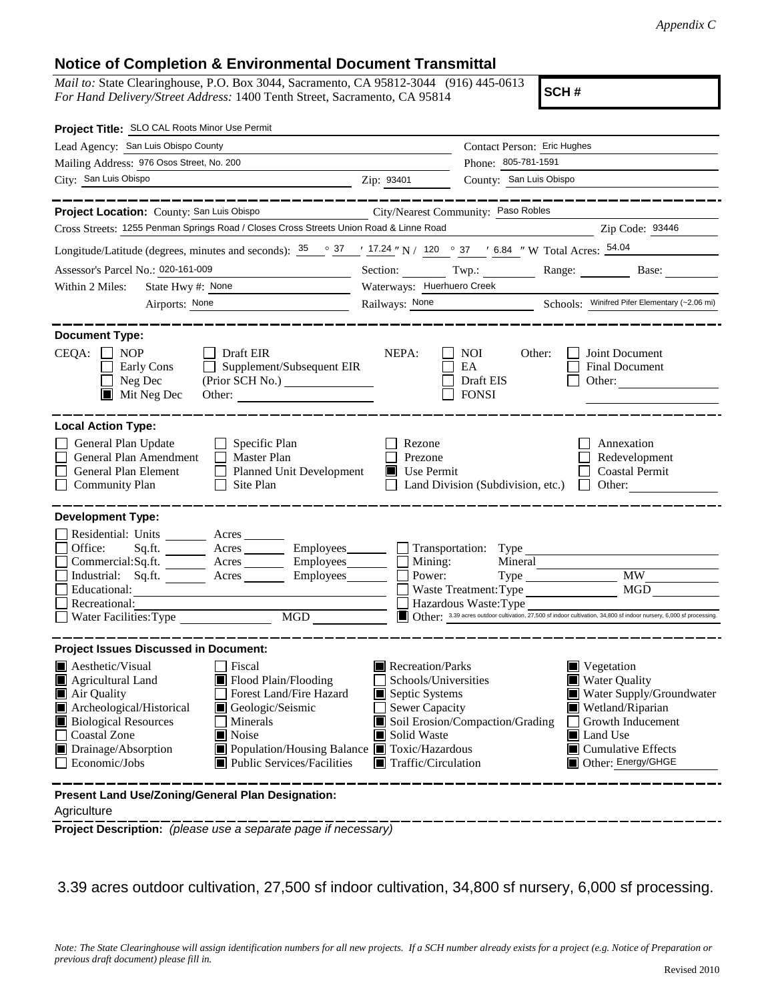## **Notice of Completion & Environmental Document Transmittal**

*Mail to:* State Clearinghouse, P.O. Box 3044, Sacramento, CA 95812-3044 (916) 445-0613 *For Hand Delivery/Street Address:* 1400 Tenth Street, Sacramento, CA 95814

**SCH #**

| Project Title: SLO CAL Roots Minor Use Permit                                                                                                                                                                                                                                                                                                                                                                                                        |                                                                                                                                   |                                                                                                                                                                                                                                            |  |  |  |  |  |  |
|------------------------------------------------------------------------------------------------------------------------------------------------------------------------------------------------------------------------------------------------------------------------------------------------------------------------------------------------------------------------------------------------------------------------------------------------------|-----------------------------------------------------------------------------------------------------------------------------------|--------------------------------------------------------------------------------------------------------------------------------------------------------------------------------------------------------------------------------------------|--|--|--|--|--|--|
| Lead Agency: San Luis Obispo County                                                                                                                                                                                                                                                                                                                                                                                                                  |                                                                                                                                   | Contact Person: Eric Hughes                                                                                                                                                                                                                |  |  |  |  |  |  |
| Mailing Address: 976 Osos Street, No. 200                                                                                                                                                                                                                                                                                                                                                                                                            |                                                                                                                                   | Phone: 805-781-1591                                                                                                                                                                                                                        |  |  |  |  |  |  |
| City: San Luis Obispo<br><u> 1980 - Johann John Stein, markin santa shekara 1980 - An an tsara 1980 - An an tsara 1980 - An an tsara 1980</u>                                                                                                                                                                                                                                                                                                        | Zip: 93401                                                                                                                        | County: San Luis Obispo                                                                                                                                                                                                                    |  |  |  |  |  |  |
|                                                                                                                                                                                                                                                                                                                                                                                                                                                      |                                                                                                                                   |                                                                                                                                                                                                                                            |  |  |  |  |  |  |
| Project Location: County: San Luis Obispo<br>City/Nearest Community: Paso Robles                                                                                                                                                                                                                                                                                                                                                                     |                                                                                                                                   |                                                                                                                                                                                                                                            |  |  |  |  |  |  |
| Cross Streets: 1255 Penman Springs Road / Closes Cross Streets Union Road & Linne Road<br>Zip Code: 93446                                                                                                                                                                                                                                                                                                                                            |                                                                                                                                   |                                                                                                                                                                                                                                            |  |  |  |  |  |  |
| Longitude/Latitude (degrees, minutes and seconds): $\frac{35}{25}$ $\frac{37}{27}$ $\frac{17.24}{27}$ N / 120 $\degree$ 37 $\degree$ 6.84 " W Total Acres: $\frac{54.04}{27}$                                                                                                                                                                                                                                                                        |                                                                                                                                   |                                                                                                                                                                                                                                            |  |  |  |  |  |  |
| Assessor's Parcel No.: 020-161-009<br><u> 1980 - Johann Barbara, martxa a</u>                                                                                                                                                                                                                                                                                                                                                                        |                                                                                                                                   | Section: Twp.: Range: Base:                                                                                                                                                                                                                |  |  |  |  |  |  |
| State Hwy #: None<br>Within 2 Miles:<br><u> 1980 - Johann Barn, mars eta inperiodo</u>                                                                                                                                                                                                                                                                                                                                                               | Waterways: Huerhuero Creek                                                                                                        |                                                                                                                                                                                                                                            |  |  |  |  |  |  |
| Airports: None                                                                                                                                                                                                                                                                                                                                                                                                                                       |                                                                                                                                   | Railways: None Schools: Winifred Pifer Elementary (~2.06 mi)                                                                                                                                                                               |  |  |  |  |  |  |
| <b>Document Type:</b><br>$CEQA: \Box NP$<br>Draft EIR<br>Supplement/Subsequent EIR<br>Early Cons<br>$\Box$ Neg Dec<br>$\blacksquare$ Mit Neg Dec                                                                                                                                                                                                                                                                                                     | NEPA:                                                                                                                             | <b>NOI</b><br>Other:<br>Joint Document<br>EA<br>Final Document<br>Draft EIS<br>Other:<br><b>FONSI</b>                                                                                                                                      |  |  |  |  |  |  |
| <b>Local Action Type:</b><br>General Plan Update<br>Specific Plan<br>General Plan Amendment<br>$\Box$ Master Plan<br>General Plan Element<br>Planned Unit Development<br>Site Plan<br><b>Community Plan</b>                                                                                                                                                                                                                                          | Rezone<br>Prezone<br>Use Permit                                                                                                   | Annexation<br>Redevelopment<br>Coastal Permit<br>Other:<br>Land Division (Subdivision, etc.)<br>$\mathbf{I}$                                                                                                                               |  |  |  |  |  |  |
| <b>Development Type:</b><br>Residential: Units _______<br>Acres<br>Office:<br>Sq.fit.<br>Commercial:Sq.ft. _________ Acres ________<br>Employees________<br>Industrial: Sq.ft. _______ Acres ______<br>Employees________<br>Educational:<br>Recreational:<br>MGD<br>Water Facilities: Type                                                                                                                                                           | Mining:<br>Power:                                                                                                                 | $\Box$ Transportation: Type<br>Mineral<br><b>MW</b><br><b>MGD</b><br>Waste Treatment: Type<br>Hazardous Waste: Type<br>Other: 3.39 acres outdoor cultivation, 27,500 sf indoor cultivation, 34,800 sf indoor nursery, 6,000 sf processing. |  |  |  |  |  |  |
| <b>Project Issues Discussed in Document:</b><br>Aesthetic/Visual<br>Fiscal<br>Flood Plain/Flooding<br>Agricultural Land<br>Forest Land/Fire Hazard<br>Air Quality<br>Archeological/Historical<br>Geologic/Seismic<br><b>Biological Resources</b><br>Minerals<br><b>Coastal Zone</b><br>$\blacksquare$ Noise<br>$\blacksquare$ Drainage/Absorption<br>■ Population/Housing Balance ■ Toxic/Hazardous<br>Economic/Jobs<br>■ Public Services/Facilities | Recreation/Parks<br>Schools/Universities<br>Septic Systems<br>Sewer Capacity<br>Solid Waste<br>$\blacksquare$ Traffic/Circulation | $\blacksquare$ Vegetation<br><b>Water Quality</b><br>Water Supply/Groundwater<br>Wetland/Riparian<br>Soil Erosion/Compaction/Grading<br>Growth Inducement<br><b>I</b> Land Use<br>$\Box$ Cumulative Effects<br>Other: Energy/GHGE          |  |  |  |  |  |  |
| Present Land Use/Zoning/General Plan Designation:                                                                                                                                                                                                                                                                                                                                                                                                    |                                                                                                                                   |                                                                                                                                                                                                                                            |  |  |  |  |  |  |

Agriculture

**Project Description:** *(please use a separate page if necessary)*

3.39 acres outdoor cultivation, 27,500 sf indoor cultivation, 34,800 sf nursery, 6,000 sf processing.